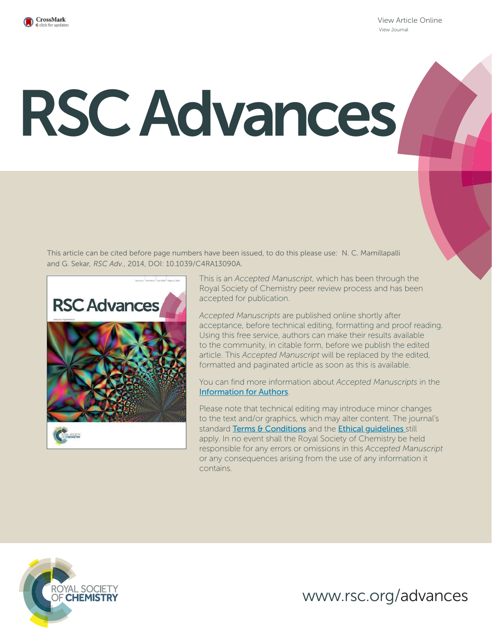

View Article Online View Journal

# RSC Advances

This article can be cited before page numbers have been issued, to do this please use: N. C. Mamillapalli and G. Sekar*, RSC Adv.*, 2014, DOI: 10.1039/C4RA13090A.



This is an *Accepted Manuscript*, which has been through the Royal Society of Chemistry peer review process and has been accepted for publication.

*Accepted Manuscripts* are published online shortly after acceptance, before technical editing, formatting and proof reading. Using this free service, authors can make their results available to the community, in citable form, before we publish the edited article. This *Accepted Manuscript* will be replaced by the edited, formatted and paginated article as soon as this is available.

You can find more information about *Accepted Manuscripts* in the Information for Authors.

Please note that technical editing may introduce minor changes to the text and/or graphics, which may alter content. The journal's standard Terms & Conditions and the Ethical quidelines still apply. In no event shall the Royal Society of Chemistry be held responsible for any errors or omissions in this *Accepted Manuscript* or any consequences arising from the use of any information it contains.



www.rsc.org/advances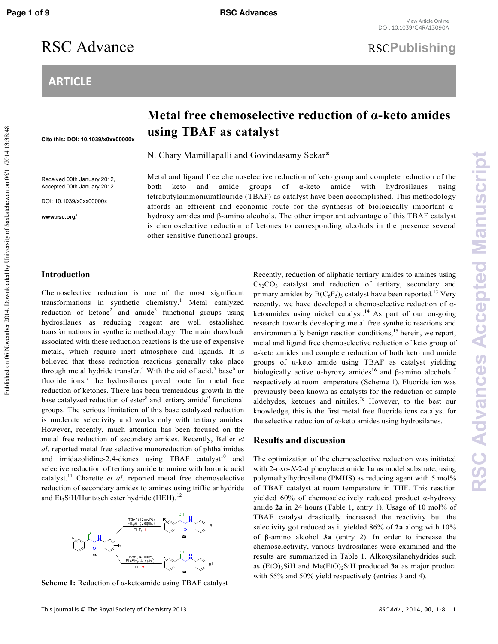# **RSC** Advance

Cite this: DOI: 10.1039/x0xx00000x

# **ARTICLE**

**RSCPublishing** 

View Article Online DOI: 10.1039/C4RA13090A

# **Metal free chemoselective reduction of α-keto amides using TBAF as catalyst**

N. Chary Mamillapalli and Govindasamy Sekar\*

Received 00th January 2012, Accepted 00th January 2012

DOI: 10.1039/x0xx00000x

www.rsc.org/

Metal and ligand free chemoselective reduction of keto group and complete reduction of the both keto and amide groups of  $\alpha$ -keto amide with hydrosilanes using tetrabutylammoniumflouride (TBAF) as catalyst have been accomplished. This methodology affords an efficient and economic route for the synthesis of biologically important  $\alpha$ hydroxy amides and  $\beta$ -amino alcohols. The other important advantage of this TBAF catalyst is chemoselective reduction of ketones to corresponding alcohols in the presence several other sensitive functional groups.

# **Introduction**

Chemoselective reduction is one of the most significant transformations in synthetic chemistry.<sup>1</sup> Metal catalyzed reduction of ketone<sup>2</sup> and amide<sup>3</sup> functional groups using hydrosilanes as reducing reagent are well established transformations in synthetic methodology. The main drawback associated with these reduction reactions is the use of expensive metals, which require inert atmosphere and ligands. It is believed that these reduction reactions generally take place through metal hydride transfer.<sup>4</sup> With the aid of acid,<sup>5</sup> base<sup>6</sup> or fluoride ions, $\frac{7}{7}$  the hydrosilanes paved route for metal free reduction of ketones. There has been tremendous growth in the base catalyzed reduction of ester<sup>8</sup> and tertiary amide<sup>9</sup> functional groups. The serious limitation of this base catalyzed reduction is moderate selectivity and works only with tertiary amides. However, recently, much attention has been focused on the metal free reduction of secondary amides. Recently, Beller et . reported metal free selective monoreduction of phthalimides and imidazolidine-2,4-diones using TBAF catalyst<sup>10</sup> and selective reduction of tertiary amide to amine with boronic acid catalyst.<sup>11</sup> Charette et al. reported metal free chemoselective reduction of secondary amides to amines using triflic anhydride and  $Et_3SiH/Hantzsch$  ester hydride (HEH).<sup>12</sup>



**Scheme 1:** Reduction of  $\alpha$ -ketoamide using TBAF catalyst

Recently, reduction of aliphatic tertiary amides to amines using  $Cs<sub>2</sub>CO<sub>3</sub>$  catalyst and reduction of tertiary, secondary and primary amides by  $B(C_6F_5)_3$  catalyst have been reported.<sup>13</sup> Very recently, we have developed a chemoselective reduction of  $\alpha$ ketoamides using nickel catalyst.<sup>14</sup> As part of our on-going research towards developing metal free synthetic reactions and environmentally benign reaction conditions,<sup>15</sup> herein, we report, metal and ligand free chemoselective reduction of keto group of α-keto amides and complete reduction of both keto and amide groups of  $\alpha$ -keto amide using TBAF as catalyst yielding biologically active  $\alpha$ -hyroxy amides<sup>16</sup> and β-amino alcohols<sup>17</sup> respectively at room temperature (Scheme 1). Fluoride ion was previously been known as catalysts for the reduction of simple aldehydes, ketones and nitriles.<sup>7e</sup> However, to the best our knowledge, this is the first metal free fluoride ions catalyst for the selective reduction of  $\alpha$ -keto amides using hydrosilanes.

#### **Results and discussion**

The optimization of the chemoselective reduction was initiated with 2-oxo-N-2-diphenylacetamide **1a** as model substrate, using polymethylhydrosilane (PMHS) as reducing agent with 5 mol% of TBAF catalyst at room temperature in THF. This reaction yielded 60% of chemoselectively reduced product α-hydroxy amide 2a in 24 hours (Table 1, entry 1). Usage of 10 mol% of TBAF catalyst drastically increased the reactivity but the selectivity got reduced as it yielded 86% of **2a** along with 10% of β-amino alcohol **3a** (entry 2). In order to increase the chemoselectivity, various hydrosilanes were examined and the results are summarized in Table 1. Alkoxysilanehydrides such as  $(EtO)$ <sub>3</sub>SiH and Me $(EtO)$ <sub>2</sub>SiH produced **3a** as major product with 55% and 50% yield respectively (entries 3 and 4).

**RSC Advances Accepted Manuscript**

**RSC Advances Accepted Manuscript**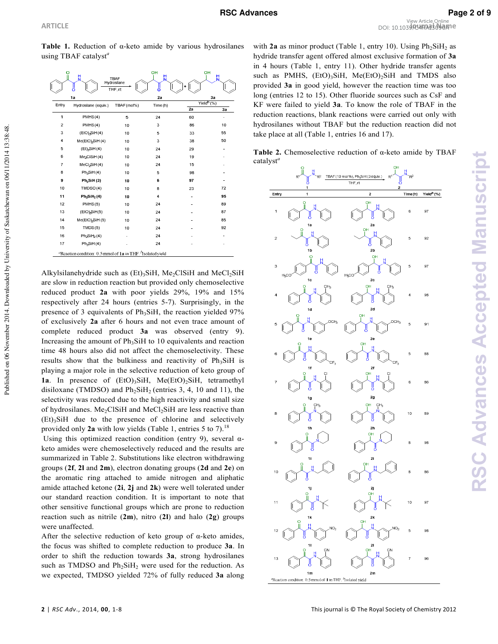Published on 06 November 2014. Downloaded by University of Saskatchewan on 06/11/2014 13:38:48. Published on 06 November 2014. Downloaded by University of Saskatchewan on 06/11/2014 13:38:48.

**Table 1.** Reduction of α-keto amide by various hydrosilanes using TBAF catalyst<sup>*a*</sup>

|                                                             | Ħ<br>ő                               | <b>TBAF</b><br>Hydrosilane<br>THF.rt | OH<br>Ħ<br>ő | OH<br>÷                | Ħ        |
|-------------------------------------------------------------|--------------------------------------|--------------------------------------|--------------|------------------------|----------|
|                                                             | 1a                                   |                                      | 2a           |                        | 3a       |
| Entry                                                       | Hydrosilane (equiv.)                 | TBAF (mol%)                          | Time (h)     | Yield <sup>b</sup> (%) |          |
|                                                             |                                      |                                      |              | 2a                     | 3a       |
| 1                                                           | PMHS(4)                              | 5                                    | 24           | 60                     | $\equiv$ |
| $\overline{\mathbf{c}}$                                     | PMHS(4)                              | 10                                   | з            | 86                     | 10       |
| з                                                           | $(EtO)$ <sub>3</sub> SiH $(4)$       | 10                                   | 5            | 33                     | 55       |
| 4                                                           | Me(EtO)-SiH(4)                       | 10                                   | з            | 38                     | 50       |
| 5                                                           | $(Et)_{3}SiH(4)$                     | 10                                   | 24           | 29                     |          |
| 6                                                           | Me <sub>2</sub> CISiH(4)             | 10                                   | 24           | 19                     |          |
| 7                                                           | MeCl <sub>2</sub> SiH(4)             | 10                                   | 24           | 15                     |          |
| 8                                                           | Ph <sub>3</sub> SiH(4)               | 10                                   | 5            | 98                     |          |
| 9                                                           | Ph <sub>3</sub> SiH(3)               | 10                                   | 6            | 97                     |          |
| 10                                                          | TMDSO (4)                            | 10                                   | 8            | 23                     | 72       |
| 11                                                          | Ph <sub>2</sub> SiH <sub>2</sub> (4) | 10                                   | 4            | ۰                      | 95       |
| 12                                                          | PMHS(5)                              | 10                                   | 24           |                        | 89       |
| 13                                                          | $(EtO)$ <sub>3</sub> SiH(5)          | 10                                   | 24           |                        | 87       |
| 14                                                          | Me(EtO) <sub>2</sub> SiH(5)          | 10                                   | 24           |                        | 85       |
| 15                                                          | TMDS(5)                              | 10                                   | 24           |                        | 92       |
| 16                                                          | Ph <sub>2</sub> SiH <sub>2</sub> (4) |                                      | 24           |                        |          |
| 17                                                          | Ph <sub>3</sub> SiH(4)               |                                      | 24           |                        |          |
| 'Reaction condition: 0.5 mmol of 1a in THF. 'Isolated vield |                                      |                                      |              |                        |          |

Alkylsilanehydride such as  $(Et)$ <sub>3</sub>SiH, Me<sub>2</sub>ClSiH and MeCl<sub>2</sub>SiH are slow in reduction reaction but provided only chemoselective reduced product **2a** with poor yields 29%, 19% and 15% respectively after 24 hours (entries 5-7). Surprisingly, in the presence of 3 equivalents of  $Ph<sub>3</sub>SiH$ , the reaction yielded 97% of exclusively **2a** after 6 hours and not even trace amount of complete reduced product **3a** was observed (entry 9). Increasing the amount of  $Ph<sub>3</sub>SiH$  to 10 equivalents and reaction time 48 hours also did not affect the chemoselectivity. These results show that the bulkiness and reactivity of  $Ph<sub>3</sub>SiH$  is playing a major role in the selective reduction of keto group of 1a. In presence of  $(EtO)$ <sub>3</sub>SiH, Me $(EtO)$ <sub>2</sub>SiH, tetramethyl disiloxane (TMDSO) and  $Ph<sub>2</sub>SiH<sub>2</sub>$  (entries 3, 4, 10 and 11), the selectivity was reduced due to the high reactivity and small size of hydrosilanes. Me<sub>2</sub>ClSiH and MeCl<sub>2</sub>SiH are less reactive than  $(Et)$ <sub>3</sub>SiH due to the presence of chlorine and selectively provided only  $2a$  with low yields (Table 1, entries 5 to 7).<sup>18</sup>

Using this optimized reaction condition (entry 9), several  $\alpha$ keto amides were chemoselectively reduced and the results are summarized in Table 2. Substitutions like electron withdrawing groups (**2f**, **2l** and **2m**), electron donating groups (**2d** and **2e**) on the aromatic ring attached to amide nitrogen and aliphatic amide attached ketone (**2i**, **2j** and **2k**) were well tolerated under our standard reaction condition. It is important to note that other sensitive functional groups which are prone to reduction reaction such as nitrile (**2m**), nitro (**2l**) and halo (**2g**) groups were unaffected.

After the selective reduction of keto group of  $\alpha$ -keto amides, the focus was shifted to complete reduction to produce **3a**. In order to shift the reduction towards **3a**, strong hydrosilanes such as TMDSO and  $Ph<sub>2</sub>SiH<sub>2</sub>$  were used for the reduction. As we expected, TMDSO yielded 72% of fully reduced **3a** along

with  $2a$  as minor product (Table 1, entry 10). Using  $Ph<sub>2</sub>SiH<sub>2</sub>$  as hydride transfer agent offered almost exclusive formation of **3a** in 4 hours (Table 1, entry 11). Other hydride transfer agents such as PMHS,  $(EtO)_3SiH$ ,  $Me(EtO)_2SiH$  and TMDS also provided **3a** in good yield, however the reaction time was too long (entries 12 to 15). Other fluoride sources such as CsF and KF were failed to yield **3a**. To know the role of TBAF in the reduction reactions, blank reactions were carried out only with hydrosilanes without TBAF but the reduction reaction did not take place at all (Table 1, entries 16 and 17).

**Table 2.** Chemoselective reduction of  $\alpha$ -keto amide by TBAF catalyst<sup>a</sup>

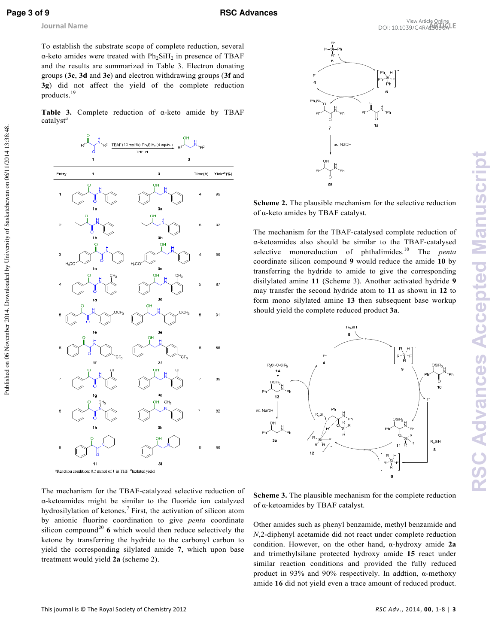Published on 06 November 2014. Downloaded by University of Saskatchewan on 06/11/2014 13:38:48. Published on 06 November 2014. Downloaded by University of Saskatchewan on 06/11/2014 13:38:48.

To establish the substrate scope of complete reduction, several  $\alpha$ -keto amides were treated with  $Ph_2SiH_2$  in presence of TBAF and the results are summarized in Table 3. Electron donating groups (**3c**, **3d** and **3e**) and electron withdrawing groups (**3f** and **3g**) did not affect the yield of the complete reduction products.<sup>19</sup>

**Table 3.** Complete reduction of  $\alpha$ -keto amide by TBAF catalyst



The mechanism for the TBAF-catalyzed selective reduction of  $\alpha$ -ketoamides might be similar to the fluoride ion catalyzed hydrosilylation of ketones.<sup>7</sup> First, the activation of silicon atom by anionic fluorine coordination to give *penta* coordinate silicon compound<sup>20</sup> 6 which would then reduce selectively the ketone by transferring the hydride to the carbonyl carbon to yield the corresponding silylated amide **7**, which upon base treatment would yield **2a** (scheme 2).



**Scheme 2.** The plausible mechanism for the selective reduction of  $α$ -keto amides by TBAF catalyst.

The mechanism for the TBAF-catalysed complete reduction of α-ketoamides also should be similar to the TBAF-catalysed selective monoreduction of phthalimides.<sup>10</sup> The *penta* coordinate silicon compound **9** would reduce the amide **10** by transferring the hydride to amide to give the corresponding disilylated amine **11** (Scheme 3). Another activated hydride **9**  may transfer the second hydride atom to **11** as shown in **12** to form mono silylated amine **13** then subsequent base workup should yield the complete reduced product **3a**.



**Scheme 3.** The plausible mechanism for the complete reduction of α-ketoamides by TBAF catalyst.

Other amides such as phenyl benzamide, methyl benzamide and  $N$ ,2-diphenyl acetamide did not react under complete reduction condition. However, on the other hand, α-hydroxy amide 2a and trimethylsilane protected hydroxy amide **15** react under similar reaction conditions and provided the fully reduced product in 93% and 90% respectively. In addtion,  $\alpha$ -methoxy amide **16** did not yield even a trace amount of reduced product.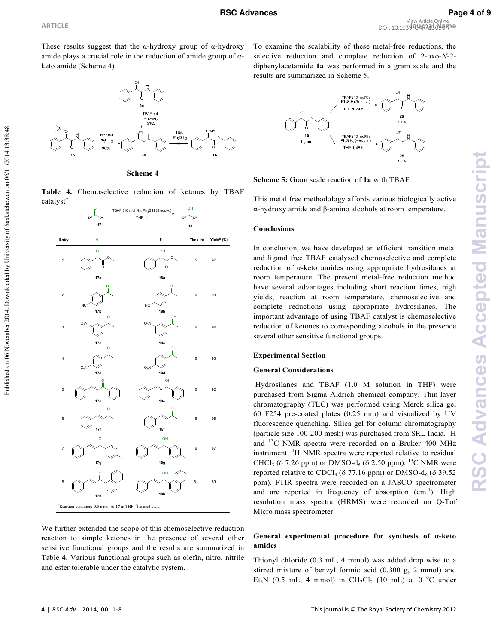View Article Online<br>DOI: 10.1039/C4RA13090A1e View Article

These results suggest that the  $\alpha$ -hydroxy group of  $\alpha$ -hydroxy amide plays a crucial role in the reduction of amide group of  $\alpha$ keto amide (Scheme 4).



**Scheme 4** 

**Table 4.** Chemoselective reduction of ketones by TBAF catalyst<sup>a</sup>



We further extended the scope of this chemoselective reduction reaction to simple ketones in the presence of several other sensitive functional groups and the results are summarized in Table 4. Various functional groups such as olefin, nitro, nitrile and ester tolerable under the catalytic system.

To examine the scalability of these metal-free reductions, the selective reduction and complete reduction of  $2$ -oxo- $N-2$ diphenylacetamide **1a** was performed in a gram scale and the results are summarized in Scheme 5.



**Scheme 5:** Gram scale reaction of **1a** with TBAF

This metal free methodology affords various biologically active α-hydroxy amide and β-amino alcohols at room temperature.

#### **Conclusions**

In conclusion, we have developed an efficient transition metal and ligand free TBAF catalysed chemoselective and complete reduction of  $\alpha$ -keto amides using appropriate hydrosilanes at room temperature. The present metal-free reduction method have several advantages including short reaction times, high yields, reaction at room temperature, chemoselective and complete reductions using appropriate hydrosilanes. The important advantage of using TBAF catalyst is chemoselective reduction of ketones to corresponding alcohols in the presence several other sensitive functional groups.

#### **Experimental Section**

#### **General Considerations**

 Hydrosilanes and TBAF (1.0 M solution in THF) were purchased from Sigma Aldrich chemical company. Thin-layer chromatography (TLC) was performed using Merck silica gel 60 F254 pre-coated plates  $(0.25 \text{ mm})$  and visualized by UV fluorescence quenching. Silica gel for column chromatography (particle size  $100-200$  mesh) was purchased from SRL India. <sup>1</sup>H and <sup>13</sup>C NMR spectra were recorded on a Bruker 400 MHz instrument. <sup>1</sup>H NMR spectra were reported relative to residual CHCl<sub>3</sub> ( $\delta$  7.26 ppm) or DMSO-d<sub>6</sub> ( $\delta$  2.50 ppm). <sup>13</sup>C NMR were reported relative to CDCl<sub>3</sub> ( $\delta$  77.16 ppm) or DMSO- $d_6$  ( $\delta$  39.52 ppm). FTIR spectra were recorded on a JASCO spectrometer and are reported in frequency of absorption  $(cm^{-1})$ . High resolution mass spectra (HRMS) were recorded on Q-Tof Micro mass spectrometer.

#### **General experimental procedure for synthesis of αketo amides**

Thionyl chloride (0.3 mL, 4 mmol) was added drop wise to a stirred mixture of benzyl formic acid (0.300 g, 2 mmol) and Et<sub>3</sub>N (0.5 mL, 4 mmol) in CH<sub>2</sub>Cl<sub>2</sub> (10 mL) at 0 °C under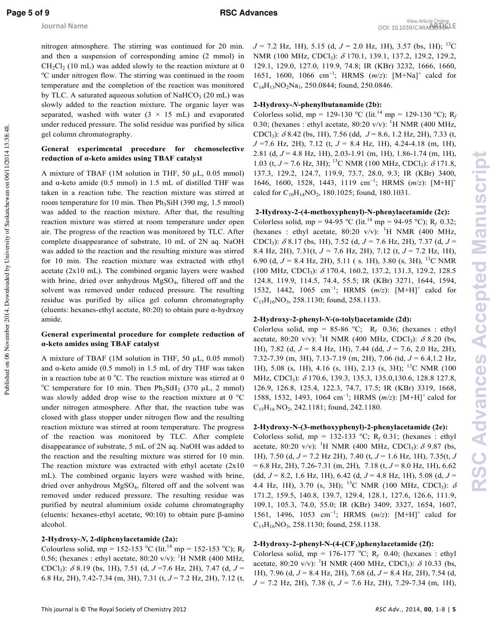nitrogen atmosphere. The stirring was continued for 20 min. and then a suspension of corresponding amine (2 mmol) in  $CH_2Cl_2$  (10 mL) was added slowly to the reaction mixture at 0 <sup>o</sup>C under nitrogen flow. The stirring was continued in the room temperature and the completion of the reaction was monitored by TLC. A saturated aqueous solution of  $\text{NaHCO}_3$  (20 mL) was slowly added to the reaction mixture. The organic layer was separated, washed with water  $(3 \times 15 \text{ mL})$  and evaporated under reduced pressure. The solid residue was purified by silica gel column chromatography.

#### **General experimental procedure for chemoselective reduction of αketo amides using TBAF catalyst**

A mixture of TBAF (1M solution in THF, 50 µL, 0.05 mmol) and  $\alpha$ -keto amide (0.5 mmol) in 1.5 mL of distilled THF was taken in a reaction tube. The reaction mixture was stirred at room temperature for 10 min. Then  $Ph<sub>3</sub>SiH$  (390 mg, 1.5 mmol) was added to the reaction mixture. After that, the resulting reaction mixture was stirred at room temperature under open air. The progress of the reaction was monitored by TLC. After complete disappearance of substrate, 10 mL of 2N aq. NaOH was added to the reaction and the resulting mixture was stirred for 10 min. The reaction mixture was extracted with ethyl acetate (2x10 mL). The combined organic layers were washed with brine, dried over anhydrous MgSO<sub>4</sub>, filtered off and the solvent was removed under reduced pressure. The resulting residue was purified by silica gel column chromatography (eluents: hexanes-ethyl acetate, 80:20) to obtain pure  $\alpha$ -hydrxoy amide.

# **General experimental procedure for complete reduction of αketo amides using TBAF catalyst**

A mixture of TBAF (1M solution in THF, 50 µL, 0.05 mmol) and  $\alpha$ -keto amide (0.5 mmol) in 1.5 mL of dry THF was taken in a reaction tube at  $0^{\circ}$ C. The reaction mixture was stirred at 0 <sup>o</sup>C temperature for 10 min. Then  $Ph_2SiH_2$  (370 µL, 2 mmol) was slowly added drop wise to the reaction mixture at  $0^{\circ}$ C under nitrogen atmosphere. After that, the reaction tube was closed with glass stopper under nitrogen flow and the resulting reaction mixture was stirred at room temperature. The progress of the reaction was monitored by TLC. After complete disappearance of substrate, 5 mL of 2N aq. NaOH was added to the reaction and the resulting mixture was stirred for 10 min. The reaction mixture was extracted with ethyl acetate  $(2x10)$ mL). The combined organic layers were washed with brine, dried over anhydrous MgSO<sup>4</sup> , filtered off and the solvent was removed under reduced pressure. The resulting residue was purified by neutral aluminium oxide column chromatography (eluents: hexanes-ethyl acetate,  $90:10$ ) to obtain pure β-amino alcohol.

#### **2Hydroxy, 2diphenylacetamide (2a):**

Colourless solid, mp = 152-153 °C (lit.<sup>14</sup> mp = 152-153 °C); R<sub>f</sub> 0.56; (hexanes : ethyl acetate, 80:20 v/v): <sup>1</sup>H NMR (400 MHz, CDCl<sub>3</sub>):  $\delta$  8.19 (bs, 1H), 7.51 (d, *J* = 7.6 Hz, 2H), 7.47 (d, *J* = 6.8 Hz, 2H), 7.42-7.34 (m, 3H), 7.31 (t,  $J = 7.2$  Hz, 2H), 7.12 (t,

 $J = 7.2$  Hz, 1H), 5.15 (d,  $J = 2.0$  Hz, 1H), 3.57 (bs, 1H); <sup>13</sup>C NMR (100 MHz, CDCl<sub>3</sub>): δ 170.1, 139.1, 137.2, 129.2, 129.2, 129.1, 129.0, 127.0, 119.9, 74.8; IR (KBr) 3232, 1666, 1660, 1651, 1600, 1066 cm<sup>-1</sup>; HRMS (m/z): [M+Na]<sup>+</sup> calcd for  $C_{14}H_{13}NO_2Na_1$ , 250.0844; found, 250.0846.

#### **2Hydroxyphenylbutanamide (2b):**

Colorless solid, mp = 129-130 °C (lit.<sup>14</sup> mp = 129-130 °C); R<sub>f</sub> 0.30; (hexanes : ethyl acetate, 80:20 v/v):  $^{1}$ H NMR (400 MHz, CDCl<sub>3</sub>):  $\delta$  8.42 (bs, 1H), 7.56 (dd,  $J = 8.6$ , 1.2 Hz, 2H), 7.33 (t,  $J = 7.6$  Hz, 2H), 7.12 (t,  $J = 8.4$  Hz, 1H), 4.24-4.18 (m, 1H), 2.81 (d,  $J = 4.8$  Hz, 1H), 2.03-1.91 (m, 1H), 1.86-1.74 (m, 1H), 1.03 (t,  $J = 7.6$  Hz, 3H); <sup>13</sup>C NMR (100 MHz, CDCl<sub>3</sub>):  $\delta$  171.8, 137.3, 129.2, 124.7, 119.9, 73.7, 28.0, 9.3; IR (KBr) 3400, 1646, 1600, 1528, 1443, 1119 cm<sup>-1</sup>; HRMS (m/z): [M+H]<sup>+</sup> calcd for  $C_{10}H_{14}NO_2$ , 180.1025; found, 180.1031.

#### 2-Hydroxy-2-(4-methoxyphenyl)-N-phenylacetamide (2c):

Colorless solid, mp = 94-95 °C (lit.<sup>14</sup> mp = 94-95 °C); R<sub>f</sub> 0.32; (hexanes : ethyl acetate,  $80:20 \text{ v/v}$ ): <sup>1</sup>H NMR (400 MHz, CDCl<sub>3</sub>):  $\delta$  8.17 (bs, 1H), 7.52 (d, *J* = 7.6 Hz, 2H), 7.37 (d, *J* = 8.4 Hz, 2H),  $7.31(t, J = 7.6 \text{ Hz}, 2H)$ ,  $7.12(t, J = 7.2 \text{ Hz}, 1H)$ , 6.90 (d,  $J = 8.4$  Hz, 2H), 5.11 (s. 1H), 3.80 (s, 3H), <sup>13</sup>C NMR (100 MHz, CDCl<sup>3</sup> ): δ 170.4, 160.2, 137.2, 131.3, 129.2, 128.5 124.8, 119.9, 114.5, 74.4, 55.5; IR (KBr) 3271, 1644, 1594, 1532, 1442, 1065 cm<sup>-1</sup>; HRMS (m/z): [M+H]<sup>+</sup> calcd for  $C_{15}H_{16}NO_3$ , 258.1130; found, 258.1133.

#### **2Hydroxy2phenyl(otolyl)acetamide (2d):**

Colorless solid, mp = 85-86 °C; R<sub>f</sub> 0.36; (hexanes : ethyl acetate, 80:20 v/v): <sup>1</sup>H NMR (400 MHz, CDCl<sub>3</sub>):  $\delta$  8.20 (bs, 1H), 7.82 (d,  = 8.4 Hz, 1H), 7.44 (dd, = 7.6, 2.0 Hz, 2H), 7.32-7.39 (m, 3H), 7.13-7.19 (m, 2H), 7.06 (td,  $J = 6.4$ , 1.2 Hz, 1H), 5.08 (s, 1H), 4.16 (s, 1H), 2.13 (s, 3H); <sup>13</sup>C NMR (100 MHz, CDCl<sub>3</sub>):  $\delta$  170.6, 139.3, 135.3, 135.0, 130.6, 128.8 127.8, 126.9, 126.8, 125.4, 122.3, 74.7, 17.5; IR (KBr) 3319, 1668, 1588, 1532, 1493, 1064 cm<sup>-1</sup>; HRMS (m/z): [M+H]<sup>+</sup> calcd for  $C_{15}H_{16}NO_2$ , 242.1181; found, 242.1180.

#### 2-Hydroxy-N-(3-methoxyphenyl)-2-phenylacetamide (2e):

Colorless solid, mp = 132-133 °C; R<sub>f</sub> 0.31; (hexanes : ethyl acetate, 80:20 v/v): <sup>1</sup>H NMR (400 MHz, CDCl<sub>3</sub>):  $\delta$  9.87 (bs, 1H), 7.50 (d, = 7.2 Hz 2H), 7.40 (t, = 1.6 Hz, 1H), 7.35(t,   $= 6.8$  Hz, 2H), 7.26-7.31 (m, 2H), 7.18 (t,  $J = 8.0$  Hz, 1H), 6.62 (dd,= 8.2, 1.6 Hz, 1H), 6.42 (d,  = 4.8 Hz, 1H), 5.08 (d,  = 4.4 Hz, 1H), 3.70 (s, 3H); <sup>13</sup>C NMR (100 MHz, CDCl<sub>3</sub>):  $\delta$ 171.2, 159.5, 140.8, 139.7, 129.4, 128.1, 127.6, 126.6, 111.9, 109.1, 105.3, 74.0, 55.0; IR (KBr) 3409, 3327, 1654, 1607, 1561, 1496, 1053 cm<sup>-1</sup>; HRMS (m/z): [M+H]<sup>+</sup> calcd for  $C_{15}H_{16}NO_3$ , 258.1130; found, 258.1138.

#### **2Hydroxy2phenylN(4(CF<sup>3</sup> )phenylacetamide (2f):**

Colorless solid, mp = 176-177 °C; R<sub>f</sub> 0.40; (hexanes : ethyl acetate, 80:20 v/v): <sup>1</sup>H NMR (400 MHz, CDCl<sub>3</sub>):  $\delta$  10.33 (bs, 1H), 7.96 (d,  = 8.4 Hz, 2H), 7.68 (d,  = 8.4 Hz, 2H), 7.54 (d,  $J = 7.2$  Hz, 2H), 7.38 (t,  $J = 7.6$  Hz, 2H), 7.29-7.34 (m, 1H),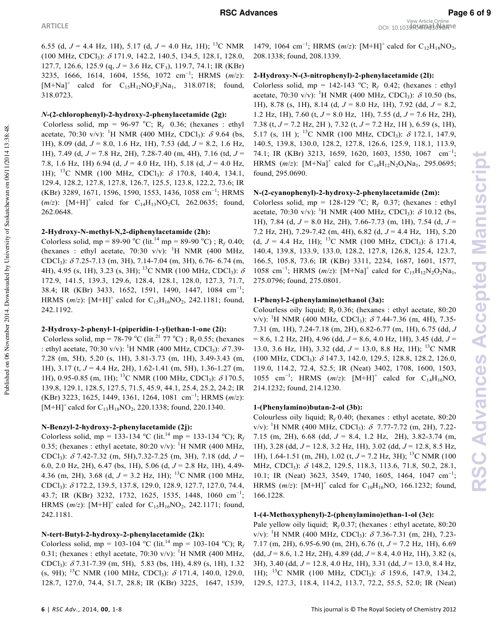6.55 (d,  $J = 4.4$  Hz, 1H), 5.17 (d,  $J = 4.0$  Hz, 1H); <sup>13</sup>C NMR (100 MHz, CDCl<sup>3</sup> ): δ 171.9, 142.2, 140.5, 134.5, 128.1, 128.0, 127.7, 126.6, 125.9 (q, *J* = 3.6 Hz, CF<sub>3</sub>), 119.7, 74.1; IR (KBr) 3235, 1666, 1614, 1604, 1556, 1072 cm<sup>-1</sup>; HRMS (m/z):  $[M+Na]^+$  calcd for  $C_{15}H_{12}NO_2F_3Na_1$ , 318.0718; found, 318.0723.

# **(2chlorophenyl)2hydroxy2phenylacetamide (2g):**

Colorless solid, mp = 96-97 °C; R<sub>f</sub> 0.36; (hexanes : ethyl acetate, 70:30 v/v): <sup>1</sup>H NMR (400 MHz, CDCl<sub>3</sub>):  $\delta$  9.64 (bs, 1H), 8.09 (dd,  = 8.0, 1.6 Hz, 1H), 7.53 (dd,  = 8.2, 1.6 Hz, 1H), 7.49 (d,  $J = 7.8$  Hz, 2H), 7.28-7.40 (m, 4H), 7.16 (td,  $J =$ 7.8, 1.6 Hz, 1H) 6.94 (d, = 4.0 Hz, 1H), 5.18 (d,  = 4.0 Hz, 1H); <sup>13</sup>C NMR (100 MHz, CDCl<sub>3</sub>): δ 170.8, 140.4, 134.1, 129.4, 128.2, 127.8, 127.8, 126.7, 125.5, 123.8, 122.2, 73.6; IR (KBr) 3289, 1671, 1596, 1590, 1553, 1436, 1058 cm−1; HRMS  $(m/z)$ :  $[M+H]^+$  calcd for C<sub>14</sub>H<sub>13</sub>NO<sub>2</sub>Cl, 262.0635; found, 262.0648.

# 2-Hydroxy-N-methyl-N,2-diphenylacetamide (2h):

Colorless solid, mp = 89-90 °C (lit.<sup>14</sup> mp = 89-90 °C); R<sub>f</sub> 0.40; (hexanes : ethyl acetate, 70:30 v/v): <sup>1</sup>H NMR (400 MHz, CDCl<sub>3</sub>):  $\delta$  7.25-7.13 (m, 3H), 7.14-7.04 (m, 3H), 6.76-6.74 (m, 4H), 4.95 (s, 1H), 3.23 (s, 3H); <sup>13</sup>C NMR (100 MHz, CDCl<sub>3</sub>):  $\delta$ 172.9, 141.5, 139.3, 129.6, 128.4, 128.1, 128.0, 127.3, 71.7, 38.4; IR (KBr) 3433, 1652, 1591, 1490, 1447, 1084 cm<sup>-1</sup>; HRMS  $(m/z)$ :  $[M+H]^+$  calcd for  $C_{15}H_{16}NO_2$ , 242.1181; found, 242.1192.

# **2Hydroxy2phenyl1(piperidin1yl)ethan1one (2i):**

Colorless solid, mp = 78-79 °C (lit.<sup>21</sup> 77 °C) ; R<sub>f</sub>0.55; (hexanes : ethyl acetate, 70:30 v/v): <sup>1</sup>H NMR (400 MHz, CDCl<sub>3</sub>):  $\delta$ 7.39-7.28 (m, 5H), 5.20 (s, 1H), 3.81-3.73 (m, 1H), 3.49-3.43 (m, 1H),  $3.17$  (t,  $J = 4.4$  Hz, 2H), 1.62-1.41 (m, 5H), 1.36-1.27 (m, 1H), 0.95-0.85 (m, 1H); <sup>13</sup>C NMR (100 MHz, CDCl<sub>3</sub>):  $\delta$  170.5, 139.8, 129.1, 128.5, 127.5, 71.5, 45.9, 44.1, 25.4, 25.2, 24.2; IR (KBr) 3223, 1625, 1449, 1361, 1264, 1081 cm<sup>-1</sup>; HRMS (*m*/z):  $[M+H]^+$  calcd for  $C_{13}H_{18}NO_2$ , 220.1338; found, 220.1340.

# N-Benzyl-2-hydroxy-2-phenylacetamide (2j):

Colorless solid, mp = 133-134 °C (lit.<sup>14</sup> mp = 133-134 °C); R<sub>f</sub> 0.35; (hexanes : ethyl acetate, 80:20 v/v): <sup>1</sup>H NMR (400 MHz, CDCl<sub>3</sub>):  $\delta$  7.42-7.32 (m, 5H), 7.32-7.25 (m, 3H), 7.18 (dd,  $J =$ 6.0, 2.0 Hz, 2H), 6.47 (bs, 1H), 5.06 (d,= 2.8 Hz, 1H), 4.49! 4.36 (m, 2H), 3.68 (d,= 3.2 Hz, 1H); <sup>13</sup>C NMR (100 MHz, CDCl<sub>3</sub>): δ 172.2, 139.5, 137.8, 129.0, 128.9, 127.7, 127.0, 74.4, 43.7; IR (KBr) 3232, 1732, 1625, 1535, 1448, 1060 cm<sup>-1</sup>; HRMS  $(m/z)$ :  $[M+H]^+$  calcd for  $C_{15}H_{16}NO_2$ , 242.1171; found, 242.1181.

# N-tert-Butyl-2-hydroxy-2-phenylacetamide (2k):

Colorless solid, mp = 103-104 °C (lit.<sup>14</sup> mp = 103-104 °C); R<sub>f</sub> 0.31; (hexanes : ethyl acetate, 70:30 v/v): <sup>1</sup>H NMR (400 MHz, CDCl<sub>3</sub>):  $\delta$  7.31-7.39 (m, 5H), 5.83 (bs, 1H), 4.89 (s, 1H), 1.32 (s, 9H); <sup>13</sup>C NMR (100 MHz, CDCl<sub>3</sub>):  $\delta$  171.4, 140.0, 129.0, 128.7, 127.0, 74.4, 51.7, 28.8; IR (KBr) 3225, 1647, 1539,

# 2-Hydroxy-N-(3-nitrophenyl)-2-phenylacetamide (2l):

Colorless solid, mp = 142-143 °C;  $R_f$  0.42; (hexanes : ethyl acetate, 70:30 v/v): <sup>1</sup>H NMR (400 MHz, CDCl<sub>3</sub>):  $\delta$  10.50 (bs, 1H), 8.78 (s, 1H), 8.14 (d,  = 8.0 Hz, 1H), 7.92 (dd, = 8.2, 1.2 Hz, 1H), 7.60 (t,= 8.0 Hz, 1H), 7.55 (d,= 7.6 Hz, 2H), 7.38 (t,  = 7.2 Hz, 2H ), 7.32 (t,  = 7.2 Hz, 1H ), 6.59 (s, 1H), 5.17 (s, 1H ); <sup>13</sup>C NMR (100 MHz, CDCl<sub>3</sub>):  $\delta$  172.1, 147.9, 140.5, 139.8, 130.0, 128.2, 127.8, 126.6, 125.9, 118.1, 113.9, 74.1; IR (KBr) 3213, 1659, 1620, 1603, 1550, 1067 cm<sup>-1</sup>; HRMS  $(m/z)$ :  $[M+Na]^+$  calcd for C<sub>14</sub>H<sub>12</sub>N<sub>2</sub>O<sub>4</sub>Na<sub>1</sub>, 295.0695; found, 295.0690.

# N-(2-cyanophenyl)-2-hydroxy-2-phenylacetamide (2m):

Colorless solid, mp = 128-129 °C;  $R_f$  0.37; (hexanes : ethyl acetate, 70:30 v/v): <sup>1</sup>H NMR (400 MHz, CDCl<sub>3</sub>):  $\delta$  10.12 (bs, 1H), 7.84 (d,  $J = 8.0$  Hz, 2H), 7.66-7.73 (m, 1H), 7.54 (d,  $J =$ 7.2 Hz, 2H),  $7.29 - 7.42$  (m, 4H),  $6.82$  (d,  $J = 4.4$  Hz, 1H),  $5.20$ (d,  $J = 4.4$  Hz, 1H); <sup>13</sup>C NMR (100 MHz, CDCl<sub>3</sub>):  $\delta$  171.4, 140.4, 139.8, 133.9, 133.0, 128.2, 127.8, 126.8, 125.4, 123.7, 166.5, 105.8, 73.6; IR (KBr) 3311, 2234, 1687, 1601, 1577, 1058 cm<sup>-1</sup>; HRMS (*m/z*): [M+Na]<sup>+</sup> calcd for C<sub>15</sub>H<sub>12</sub>N<sub>2</sub>O<sub>2</sub>Na<sub>1</sub>, 275.0796; found, 275.0801.

# **1Phenyl2(phenylamino)ethanol (3a):**

Colourless oily liquid;  $R_f$  0.36; (hexanes : ethyl acetate, 80:20 v/v): <sup>1</sup>H NMR (400 MHz, CDCl<sub>3</sub>):  $\delta$  7.44-7.36 (m, 4H), 7.35-7.31 (m, 1H), 7.24-7.18 (m, 2H), 6.82-6.77 (m, 1H), 6.75 (dd, *J*  $= 8.6, 1.2$  Hz, 2H), 4.96 (dd,  $J = 8.6, 4.0$  Hz, 1H), 3.45 (dd,  $J =$ 13.0, 3.6 Hz, 1H), 3.32 (dd,= 13.0, 8.8 Hz, 1H); <sup>13</sup>C NMR  $(100 \text{ MHz}, \text{CDCl}_3): \delta 147.3, 142.0, 129.5, 128.8, 128.2, 126.0,$ 119.0, 114.2, 72.4, 52.5; IR (Neat) 3402, 1708, 1600, 1503, 1055 cm<sup>-1</sup>; HRMS  $(m/z)$ : [M+H]<sup>+</sup> calcd for C<sub>14</sub>H<sub>16</sub>NO, 214.1232; found, 214.1230.

# 1-(Phenylamino)butan-2-ol (3b):

Colourless oily liquid;  $R_f$  0.40; (hexanes : ethyl acetate, 80:20 v/v): <sup>1</sup>H NMR (400 MHz, CDCl<sub>3</sub>):  $\delta$  7.77-7.72 (m, 2H), 7.22-7.15 (m, 2H), 6.68 (dd,  $J = 8.4$ , 1.2 Hz, 2H), 3.82-3.74 (m, 1H), 3.28 (dd,= 12.8, 3.2 Hz, 1H), 3.02 (dd,= 12.8, 8.5 Hz, 1H), 1.64-1.51 (m, 2H), 1.02 (t,  $J = 7.2$  Hz, 3H); <sup>13</sup>C NMR (100) MHz, CDCl<sub>3</sub>): δ 148.2, 129.5, 118.3, 113.6, 71.8, 50.2, 28.1, 10.1; IR (Neat) 3623, 3549, 1740, 1605, 1464, 1047 cm−1; HRMS  $(m/z)$ : [M+H]<sup>+</sup> calcd for C<sub>10</sub>H<sub>16</sub>NO, 166.1232; found, 166.1228.

# **1(4Methoxyphenyl)2(phenylamino)ethan1ol (3c):**

Pale yellow oily liquid;  $R_f 0.37$ ; (hexanes : ethyl acetate, 80:20 v/v): <sup>1</sup>H NMR (400 MHz, CDCl<sub>3</sub>):  $\delta$  7.36-7.31 (m, 2H), 7.23-7.17 (m, 2H), 6.95-6.90 (m, 2H), 6.76 (t,  $J = 7.2$  Hz, 1H), 6.69 (dd,= 8.6, 1.2 Hz, 2H), 4.89 (dd,= 8.4, 4.0 Hz, 1H), 3.82 (s, 3H), 3.40 (dd,= 12.8, 4.0 Hz, 1H), 3.31 (dd,= 13.0, 8.4 Hz, 1H); <sup>13</sup>C NMR (100 MHz, CDCl<sub>3</sub>):  $\delta$  159.6, 147.9, 134.2, 129.5, 127.3, 118.4, 114.2, 113.7, 72.2, 55.5, 52.0; IR (Neat)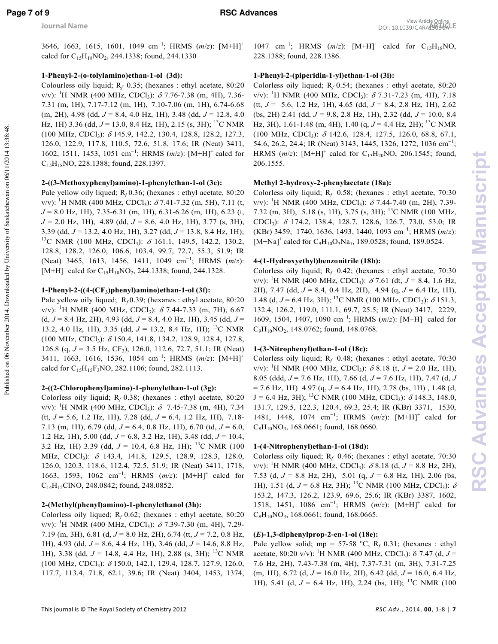3646, 1663, 1615, 1601, 1049 cm<sup>-1</sup>; HRMS (m/z): [M+H]<sup>+</sup> calcd for  $C_{15}H_{18}NO_2$ , 244.1338; found, 244.1330

# 1-Phenyl-2-(o-tolylamino)ethan-1-ol (3d):

Colourless oily liquid;  $R_f$  0.35; (hexanes : ethyl acetate, 80:20) v/v): <sup>1</sup>H NMR (400 MHz, CDCl<sub>3</sub>):  $\delta$  7.76-7.38 (m, 4H), 7.36-7.31 (m, 1H),  $7.17-7.12$  (m, 1H),  $7.10-7.06$  (m, 1H),  $6.74-6.68$ (m, 2H), 4.98 (dd, = 8.4, 4.0 Hz, 1H), 3.48 (dd,= 12.8, 4.0 Hz, 1H) 3.36 (dd,  $J = 13.0$ , 8.4 Hz, 1H), 2.15 (s, 3H); <sup>13</sup>C NMR  $(100 \text{ MHz}, \text{CDCl}_3): \delta 145.9, 142.2, 130.4, 128.8, 128.2, 127.3,$ 126.0, 122.9, 117.8, 110.5, 72.6, 51.8, 17.6; IR (Neat) 3411, 1602, 1511, 1453, 1051 cm<sup>-1</sup>; HRMS (m/z): [M+H]<sup>+</sup> calcd for C<sub>15</sub>H<sub>18</sub>NO, 228.1388; found, 228.1397.

# 2-((3-Methoxyphenyl)amino)-1-phenylethan-1-ol (3e):

Pale yellow oily liqued;  $R_f$ 0.36; (hexanes : ethyl acetate, 80:20 v/v): <sup>1</sup>H NMR (400 MHz, CDCl<sub>3</sub>):  $\delta$  7.41-7.32 (m, 5H), 7.11 (t,  $J = 8.0$  Hz, 1H), 7.35-6.31 (m, 1H), 6.31-6.26 (m, 1H), 6.23 (t, = 2.0 Hz, 1H), 4.89 (dd,= 8.6, 4.0 Hz, 1H), 3.77 (s, 3H), 3.39 (dd,= 13.2, 4.0 Hz, 1H), 3.27 (dd,= 13.8, 8.4 Hz, 1H); <sup>13</sup>C NMR (100 MHz, CDCl<sub>3</sub>):  $\delta$  161.1, 149.5, 142.2, 130.2, 128.8, 128.2, 126.0, 106.6, 103.4, 99.7, 72.7, 55.3, 51.9; IR (Neat) 3465, 1613, 1456, 1411, 1049 cm<sup>-1</sup>; HRMS (m/z):  $[M+H]^+$  calcd for  $C_{15}H_{18}NO_2$ , 244.1338; found, 244.1328.

# **1Phenyl2((4(CF<sup>3</sup> )phenyl)amino)ethan1ol (3f):**

Pale yellow oily liqued;  $R_f 0.39$ ; (hexanes : ethyl acetate, 80:20 v/v): <sup>1</sup>H NMR (400 MHz, CDCl<sub>3</sub>):  $\delta$  7.44-7.33 (m, 7H), 6.67 (d, = 8.4 Hz, 2H), 4.93 (dd,= 8.4, 4.0 Hz, 1H), 3.45 (dd,= 13.2, 4.0 Hz, 1H), 3.35 (dd,= 13.2, 8.4 Hz, 1H); <sup>13</sup>C NMR (100 MHz, CDCl<sup>3</sup> ): δ 150.4, 141.8, 134.2, 128.9, 128.4, 127.8, 126.8 (q,  = 3.5 Hz, CF<sup>3</sup> ), 126.0, 112.6, 72.7, 51.1; IR (Neat) 3411, 1663, 1616, 1536, 1054 cm<sup>-1</sup>; HRMS (*m*/z): [M+H]<sup>+</sup> calcd for  $C_{15}H_{15}F_3NO$ , 282.1106; found, 282.1113.

#### 2-((2-Chlorophenyl)amino)-1-phenylethan-1-ol (3g):

Colorless oily liquid;  $R_f$  0.38; (hexanes : ethyl acetate, 80:20 v/v): <sup>1</sup>H NMR (400 MHz, CDCl<sub>3</sub>):  $\delta$  7.45-7.38 (m, 4H), 7.34  $(t, J = 5.6, 1.2$  Hz, 1H), 7.28 (dd,  $J = 6.4, 1.2$  Hz, 1H), 7.18-7.13 (m, 1H),  $6.79$  (dd,  $J = 6.4$ , 0.8 Hz, 1H),  $6.70$  (td,  $J = 6.0$ , 1.2 Hz, 1H), 5.00 (dd,  $J = 6.8$ , 3.2 Hz, 1H), 3.48 (dd,  $J = 10.4$ , 3.2 Hz, 1H) 3.39 (dd, = 10.4, 6.8 Hz, 1H); <sup>13</sup>C NMR (100 MHz, CDCl<sub>3</sub>): δ 143.4, 141.8, 129.5, 128.9, 128.3, 128.0, 126.0, 120.3, 118.6, 112.4, 72.5, 51.9; IR (Neat) 3411, 1718, 1663, 1593, 1062 cm<sup>-1</sup>; HRMS (*m*/z): [M+H]<sup>+</sup> calcd for C14H15ClNO, 248.0842; found, 248.0852.

# 2-(Methyl(phenyl)amino)-1-phenylethanol (3h):

Colorless oily liqued;  $R_f$  0.62; (hexanes : ethyl acetate, 80:20 v/v): <sup>1</sup>H NMR (400 MHz, CDCl<sub>3</sub>):  $\delta$  7.39-7.30 (m, 4H), 7.29-7.19 (m, 3H), 6.81 (d,= 8.0 Hz, 2H), 6.74 (tt, = 7.2, 0.8 Hz, 1H), 4.93 (dd, = 8.6, 4.4 Hz, 1H), 3.46 (dd,= 14.6, 8.8 Hz, 1H), 3.38 (dd,= 14.8, 4.4 Hz, 1H), 2.88 (s, 3H); <sup>13</sup>C NMR (100 MHz, CDCl<sub>3</sub>): δ 150.0, 142.1, 129.4, 128.7, 127.9, 126.0, 117.7, 113.4, 71.8, 62.1, 39.6; IR (Neat) 3404, 1453, 1374,

1047 cm<sup>-1</sup>; HRMS  $(m/z)$ :  $[M+H]$ <sup>+</sup> calcd for C<sub>15</sub>H<sub>18</sub>NO, 228.1388; found, 228.1386.

# 1-Phenyl-2-(piperidin-1-yl)ethan-1-ol (3i):

Colorless oily liqued;  $R_f$  0.54; (hexanes : ethyl acetate, 80:20 v/v): <sup>1</sup>H NMR (400 MHz, CDCl<sub>3</sub>):  $\delta$  7.31-7.23 (m, 4H), 7.18 (tt,  = 5.6, 1.2 Hz, 1H), 4.65 (dd, = 8.4, 2.8 Hz, 1H), 2.62 (bs, 2H) 2.41 (dd,= 9.8, 2.8 Hz, 1H), 2.32 (dd,= 10.0, 8.4 Hz, 3H), 1.61-1.48 (m, 4H), 1.40 (q,  $J = 4.4$  Hz, 2H); <sup>13</sup>C NMR  $(100 \text{ MHz}, \text{CDCl}_3): \delta 142.6, 128.4, 127.5, 126.0, 68.8, 67.1,$ 54.6, 26.2, 24.4; IR (Neat) 3143, 1445, 1326, 1272, 1036 cm<sup>-1</sup>; HRMS  $(m/z)$ :  $[M+H]^+$  calcd for C<sub>13</sub>H<sub>20</sub>NO, 206.1545; found, 206.1555.

# Methyl 2-hydroxy-2-phenylacetate (18a):

Colorless oily liquid;  $R_f$  0.58; (hexanes : ethyl acetate, 70:30) v/v): <sup>1</sup>H NMR (400 MHz, CDCl<sub>3</sub>):  $\delta$  7.44-7.40 (m, 2H), 7.39-7.32 (m, 3H), 5.18 (s, 1H), 3.75 (s, 3H); <sup>13</sup>C NMR (100 MHz, CDCl<sub>3</sub>): δ 174.2, 138.4, 128.7, 128.6, 126.7, 73.0, 53.0; IR (KBr) 3459, 1740, 1636, 1493, 1440, 1093 cm<sup>-1</sup>; HRMS (*m*/z):  $[M+Na]^+$  calcd for  $C_9H_{10}O_3Na_1$ , 189.0528; found, 189.0524.

# **4(1Hydroxyethyl)benzonitrile (18b):**

Colorless oily liquid;  $R_f$  0.42; (hexanes : ethyl acetate, 70:30)  $v/v$ ): <sup>1</sup>H NMR (400 MHz, CDCl<sub>3</sub>):  $\delta$  7.61 (dt, *J* = 8.4, 1.6 Hz, 2H), 7.47 (dd,  = 8.4, 0.4 Hz, 2H), 4.94 (q,  = 6.4 Hz, 1H), 1.48 (d,  $J = 6.4$  Hz, 3H); <sup>13</sup>C NMR (100 MHz, CDCl<sub>3</sub>):  $\delta$  151.3, 132.4, 126.2, 119.0, 111.1, 69.7, 25.5; IR (Neat) 3417, 2229, 1609, 1504, 1407, 1090 cm<sup>-1</sup>; HRMS (*m*/z): [M+H]<sup>+</sup> calcd for  $C_9H_{10}NO_2$ , 148.0762; found, 148.0768.

#### 1-(3-Nitrophenyl)ethan-1-ol (18c):

Colorless oily liquid;  $R_f$  0.48; (hexanes : ethyl acetate, 70:30)  $v/v$ ): <sup>1</sup>H NMR (400 MHz, CDCl<sub>3</sub>):  $\delta$  8.18 (t, *J* = 2.0 Hz, 1H), 8.05 (ddd,  = 7.6 Hz, 1H), 7.66 (d,  = 7.6 Hz, 1H), 7.47 (d,   $= 7.6$  Hz, 1H)  $4.97$  (q,  $J = 6.4$  Hz, 1H), 2.78 (bs, 1H), 1.48 (d,  $J = 6.4$  Hz, 3H); <sup>13</sup>C NMR (100 MHz, CDCl<sub>3</sub>):  $\delta$  148.3, 148.0, 131.7, 129.5, 122.3, 120.4, 69.3, 25.4; IR (KBr) 3371, 1530, 1481, 1448, 1074 cm<sup>-1</sup>; HRMS (m/z): [M+H]<sup>+</sup> calcd for  $C_8H_{10}NO_3$ , 168.0661; found, 168.0660.

#### 1-(4-Nitrophenyl)ethan-1-ol (18d):

Colorless oily liqued;  $R_f$  0.46; (hexanes : ethyl acetate, 70:30)  $v/v$ ): <sup>1</sup>H NMR (400 MHz, CDCl<sub>3</sub>):  $\delta$  8.18 (d, J = 8.8 Hz, 2H), 7.53 (d,  = 8.8 Hz, 2H), 5.01 (q,  = 6.8 Hz, 1H), 2.06 (bs, 1H), 1.51 (d,  $J = 6.8$  Hz, 3H); <sup>13</sup>C NMR (100 MHz, CDCl<sub>3</sub>):  $\delta$ 153.2, 147.3, 126.2, 123.9, 69.6, 25.6; IR (KBr) 3387, 1602, 1518, 1451, 1086 cm<sup>-1</sup>; HRMS (m/z): [M+H]<sup>+</sup> calcd for  $C_8H_{10}NO_3$ , 168.0661; found, 168.0665.

# **(***-***)1,3diphenylprop2en1ol (18e):**

Pale yellow solid; mp = 57-58 °C,  $R_f$  0.31; (hexanes : ethyl acetate, 80:20 v/v): <sup>1</sup>H NMR (400 MHz, CDCl<sub>3</sub>):  $\delta$  7.47 (d, J = 7.6 Hz, 2H), 7.43-7.38 (m, 4H), 7.37-7.31 (m, 3H), 7.31-7.25 (m, 1H), 6.72 (d,  = 16.0 Hz, 2H), 6.42 (dd,  = 16.0, 6.4 Hz, 1H), 5.41 (d,  $J = 6.4$  Hz, 1H), 2.24 (bs, 1H); <sup>13</sup>C NMR (100)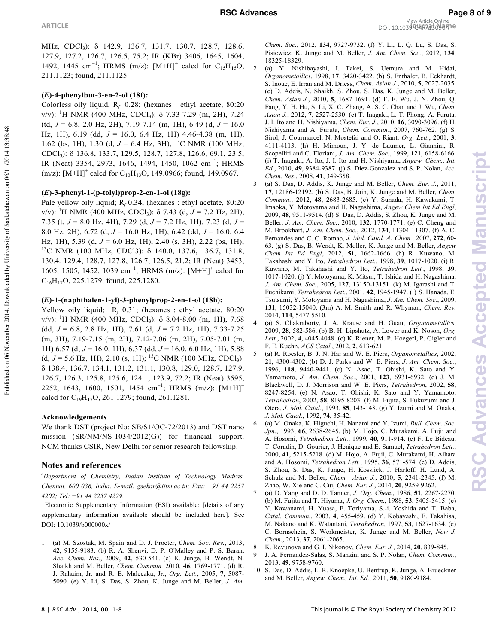MHz, CDCl<sub>3</sub>): δ 142.9, 136.7, 131.7, 130.7, 128.7, 128.6, 127.9, 127.2, 126.7, 126.5, 75.2; IR (KBr) 3406, 1645, 1604, 1492, 1445 cm<sup>-1</sup>; HRMS (m/z):  $[M+H]$ <sup>+</sup> calcd for C<sub>15</sub>H<sub>15</sub>O, 211.1123; found, 211.1125.

# (*E*)-4-phenylbut-3-en-2-ol (18f):

Colorless oily liquid,  $R_f$  0.28; (hexanes : ethyl acetate, 80:20 v/v): <sup>1</sup>H NMR (400 MHz, CDCl<sub>3</sub>): δ 7.33-7.29 (m, 2H), 7.24  $(\text{td}, J = 6.8, 2.0 \text{ Hz}, 2\text{H}), 7.19-7.14 \text{ (m, 1H)}, 6.49 \text{ (d, } J = 16.0 \text{ s})$ Hz, 1H), 6.19 (dd,  $J = 16.0$ , 6.4 Hz, 1H) 4.46-4.38 (m, 1H), 1.62 (bs, 1H), 1.30 (d,  $J = 6.4$  Hz, 3H); <sup>13</sup>C NMR (100 MHz, CDCl<sup>3</sup> ): δ 136.8, 133.7, 129.5, 128.7, 127.8, 126.6, 69.1, 23.5; IR (Neat) 3354, 2973, 1646, 1494, 1450, 1062 cm−1; HRMS  $(m/z)$ : [M+H]<sup>+</sup> calcd for C<sub>10</sub>H<sub>13</sub>O, 149.0966; found, 149.0967.

# (*E*)-3-phenyl-1-(p-tolyl)prop-2-en-1-ol (18g):

Pale yellow oily liquid;  $R_f$  0.34; (hexanes : ethyl acetate, 80:20  $v/v$ ): <sup>1</sup>H NMR (400 MHz, CDCl<sub>3</sub>):  $\delta$  7.43 (d,  $J = 7.2$  Hz, 2H), 7.35 (t,  = 8.0 Hz, 4H), 7.29 (d,  = 7.2 Hz, 1H), 7.23 (d,  = 8.0 Hz, 2H), 6.72 (d,  = 16.0 Hz, 1H), 6.42 (dd,  = 16.0, 6.4 Hz, 1H), 5.39 (d,  = 6.0 Hz, 1H), 2.40 (s, 3H), 2.22 (bs, 1H); <sup>13</sup>C NMR (100 MHz, CDCl3): δ 140.0, 137.6, 136.7, 131.8, 130.4. 129.4, 128.7, 127.8, 126.7, 126.5, 21.2; IR (Neat) 3453, 1605, 1505, 1452, 1039 cm−1; HRMS (m/z): [M+H]<sup>+</sup> calcd for  $C_{16}H_{17}O$ , 225.1279; found, 225.1280.

# (*E*)-1-(naphthalen-1-yl)-3-phenylprop-2-en-1-ol (18h):

Yellow oily liquid;  $R_f$  0.31; (hexanes : ethyl acetate, 80:20 v/v): <sup>1</sup>H NMR (400 MHz, CDCl<sub>3</sub>): δ 8.04-8.00 (m, 1H), 7.68  $(dd, J = 6.8, 2.8$  Hz, 1H), 7.61  $(d, J = 7.2$  Hz, 1H), 7.33-7.25 (m, 3H), 7.19-7.15 (m, 2H), 7.12-7.06 (m, 2H), 7.05-7.01 (m, 1H) 6.57 (d,  = 16.0, 1H), 6.37 (dd,  = 16.0, 6.0 Hz, 1H), 5.88  $(d, J = 5.6 \text{ Hz}, 1\text{H}), 2.10 \text{ (s, 1H)}$ ; <sup>13</sup>C NMR (100 MHz, CDCl<sub>3</sub>): δ 138.4, 136.7, 134.1, 131.2, 131.1, 130.8, 129.0, 128.7, 127.9, 126.7, 126.3, 125.8, 125.6, 124.1, 123.9, 72.2; IR (Neat) 3595, 2252, 1643, 1600, 1501, 1454 cm<sup>-1</sup>; HRMS (m/z): [M+H]<sup>+</sup> calcd for  $C_{19}H_{17}O$ , 261.1279; found, 261.1281.

#### **Acknowledgements**

We thank DST (project No: SB/S1/OC-72/2013) and DST nano mission  $(SR/NM/NS-1034/2012(G))$  for financial support. NCM thanks CSIR, New Delhi for senior research fellowship.

#### **Notes and references**

<sup>*a*</sup>Department of Chemistry, Indian Institute of Technology Madras, *Chennai, 600 036, India. E-mail: gsekar@iitm.ac.in; Fax: +91 44 2257* 4202; Tel: +91 44 2257 4229.

†Electronic Supplementary Information (ESI) available: [details of any supplementary information available should be included here]. See DOI: 10.1039/b0000000x/

1 (a) M. Szostak, M. Spain and D. J. Procter, *Chem. Soc. Rev.*, 2013, 42, 9155-9183. (b) R. A. Shenvi, D. P. O'Malley and P. S. Baran, Acc. Chem. Res., 2009, 42, 530-541. (c) K. Junge, B. Wendt, N. Shaikh and M. Beller, *Chem. Commun.* 2010, 46, 1769-1771. (d) R. J. Rahaim, Jr. and R. E. Maleczka, Jr., Org. Lett., 2005, 7, 5087-5090. (e) Y. Li, S. Das, S. Zhou, K. Junge and M. Beller, *J. Am.* 

Chem. Soc., 2012, 134, 9727-9732. (f) Y. Li, L. Q. Lu, S. Das, S. Pisiewicz, K. Junge and M. Beller, *J. Am. Chem. Soc.*, 2012, 134, 18325-18329.

- 2 (a) Y. Nishibayashi, I. Takei, S. Uemura and M. Hidai, Organometallics, 1998, 17, 3420-3422. (b) S. Enthaler, B. Eckhardt, S. Inoue, E. Irran and M. Driess, *Chem. Asian J.*, 2010, 5, 2027-2035. (c) D. Addis, N. Shaikh, S. Zhou, S. Das, K. Junge and M. Beller, Chem. Asian J., 2010, 5, 1687-1691. (d) F. F. Wu, J. N. Zhou, Q. Fang, Y. H. Hu, S. Li, X. C. Zhang, A. S. C. Chan and J. Wu, Chem. *5#*, 2012, **7**, 2527!2530. (e) T. Inagaki, L. T. Phong, A. Furuta, J. I. Ito and H. Nishiyama, *Chem. Eur. J.*, 2010, **16**, 3090-3096. (f) H. Nishiyama and A. Furuta, *Chem. Commun.*, 2007, 760-762. (g) S. Sirol, J. Courmarcel, N. Mostefai and O. Riant, Org. Lett., 2001, 3, 4111-4113. (h) H. Mimoun, J. Y. de Laumer, L. Giannini, R. Scopelliti and C. Floriani, *J. Am. Chem. Soc.*, 1999, 121, 6158-6166. (i) T. Inagaki, A. Ito, J. I. Ito and H. Nishiyama, Angew. Chem., Int. *Ed.*, 2010, 49, 9384-9387. (j) S. Diez-Gonzalez and S. P. Nolan, *Acc.* Chem. Res., 2008, 41, 349-358.
- 3 (a) S. Das, D. Addis, K. Junge and M. Beller, *Chem. Eur. J.*, 2011, 17, 12186-12192. (b) S. Das, B. Join, K. Junge and M. Beller, *Chem.* Commun., 2012, 48, 2683-2685. (c) Y. Sunada, H. Kawakami, T. Imaoka, Y. Motoyama and H. Nagashima, Angew Chem Int Ed Engl, 2009, 48, 9511-9514. (d) S. Das, D. Addis, S. Zhou, K. Junge and M. Beller, *J. Am. Chem. Soc.*, 2010, 132, 1770-1771. (e) C. Cheng and M. Brookhart, *J. Am. Chem. Soc.*, 2012, 134, 11304-11307. (f) A. C. Fernandes and C. C. Romao, *J. Mol. Catal. A: Chem.*, 2007, 272, 60-63. (g) S. Das, B. Wendt, K. Moller, K. Junge and M. Beller, *Angew Chem Int Ed Engl*, 2012, 51, 1662-1666. (h) R. Kuwano, M. Takahashi and Y. Ito, *Tetrahedron Lett.*, 1998, 39, 1017-1020. (i) R. Kuwano, M. Takahashi and Y. Ito, *Tetrahedron Lett.*, 1998, 39, 1017-1020. (j) Y. Motoyama, K. Mitsui, T. Ishida and H. Nagashima, J. Am. Chem. Soc., 2005, 127, 13150-13151. (k) M. Igarashi and T. Fuchikami, *Tetrahedron Lett.*, 2001, 42, 1945-1947. (I) S. Hanada, E. Tsutsumi, Y. Motoyama and H. Nagashima, J. Am. Chem. Soc., 2009, 131, 15032-15040. (3m) A. M. Smith and R. Whyman, *Chem. Rev.* 2014, 114, 5477-5510.
- 4 (a) S. Chakraborty, J. A. Krause and H. Guan, *Organometallics*, 2009, 28, 582-586. (b) B. H. Lipshutz, A. Lower and K. Noson, Org. Lett., 2002, 4, 4045-4048. (c) K. Riener, M. P. Hoegerl, P. Gigler and F. E. Kuehn, *ACS Catal.*, 2012, 2, 613-621.
- 5 (a) R. Roesler, B. J. N. Har and W. E. Piers, *Organometallics*, 2002, 21, 4300-4302. (b) D. J. Parks and W. E. Piers, *J. Am. Chem. Soc.*, 1996, 118, 9440-9441. (c) N. Asao, T. Ohishi, K. Sato and Y. Yamamoto, *J. Am. Chem. Soc.*, 2001, 123, 6931-6932. (d) J. M. Blackwell, D. J. Morrison and W. E. Piers, *Tetrahedron*, 2002, 58, 8247-8254. (e) N. Asao, T. Ohishi, K. Sato and Y. Yamamoto, *Tetrahedron*, 2002, 58, 8195-8203. (f) M. Fujita, S. Fukuzumi and J. Otera, *J. Mol. Catal.*, 1993, 85, 143-148. (g) Y. Izumi and M. Onaka, *J. Mol. Catal.,* 1992, 74, 35-42.
- 6 (a) M. Onaka, K. Higuchi, H. Nanami and Y. Izumi, *Bull. Chem. Soc.* Jpn., 1993, 66, 2638-2645. (b) M. Hojo, C. Murakami, A. Fujii and A. Hosomi, *Tetrahedron Lett.*, 1999, 40, 911-914. (c) F. Le Bideau, T. Coradin, D. Gourier, J. Henique and E. Samuel, *Tetrahedron Lett.*, 2000, 41, 5215-5218. (d) M. Hojo, A. Fujii, C. Murakami, H. Aihara and A. Hosomi, *Tetrahedron Lett.*, 1995, 36, 571-574. (e) D. Addis, S. Zhou, S. Das, K. Junge, H. Kosslick, J. Harloff, H. Lund, A. Schulz and M. Beller, *Chem. Asian J.*, 2010, 5, 2341-2345. (f) M. Zhao, W. Xie and C. Cui, *Chem. Eur. J.*, 2014, 20, 9259-9262.
- 7 (a) D. Yang and D. D. Tanner, *J. Org. Chem.*, 1986, **51**, 2267-2270. (b) M. Fujita and T. Hiyama, *J. Org. Chem.*, 1988, 53, 5405-5415. (c) Y. Kawanami, H. Yuasa, F. Toriyama, S.-i. Yoshida and T. Baba, Catal. Commun., 2003, 4, 455-459. (d) Y. Kobayashi, E. Takahisa, M. Nakano and K. Watantani, *Tetrahedron*, 1997, 53, 1627-1634. (e) C. Bornschein, S. Werkmeister, K. Junge and M. Beller, New J. Chem., 2013, 37, 2061-2065.
- K. Revunova and G. I. Nikonov, *Chem. Eur. J.*, 2014, **20**, 839-845.
- 9 J. A. Fernandez-Salas, S. Manzini and S. P. Nolan, *Chem. Commun.*, 2013, 49, 9758-9760.
- 10 S. Das, D. Addis, L. R. Knoepke, U. Bentrup, K. Junge, A. Brueckner and M. Beller, *Angew. Chem., Int. Ed.*, 2011, 50, 9180-9184.